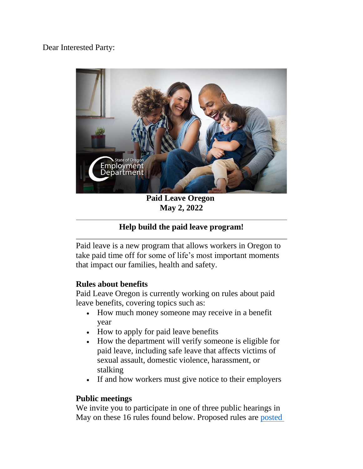### Dear Interested Party:



**Paid Leave Oregon May 2, 2022**

## **Help build the paid leave program!**

Paid leave is a new program that allows workers in Oregon to take paid time off for some of life's most important moments that impact our families, health and safety.

#### **Rules about benefits**

Paid Leave Oregon is currently working on rules about paid leave benefits, covering topics such as:

- How much money someone may receive in a benefit year
- How to apply for paid leave benefits
- How the department will verify someone is eligible for paid leave, including safe leave that affects victims of sexual assault, domestic violence, harassment, or stalking
- If and how workers must give notice to their employers

#### **Public meetings**

We invite you to participate in one of three public hearings in May on these 16 rules found below. Proposed rules are [posted](https://www.oregon.gov/employ/Agency/Pages/OED%20Administrative%20Rules.aspx)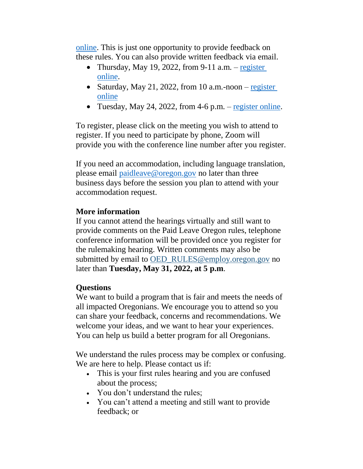[online.](https://www.oregon.gov/employ/Agency/Pages/OED%20Administrative%20Rules.aspx) This is just one opportunity to provide feedback on these rules. You can also provide written feedback via email.

- Thursday, May 19, 2022, from 9-11 a.m.  $-$  register [online.](https://www.zoomgov.com/webinar/register/WN_7FUKv6d3Q36UTYUtQFUpVw)
- Saturday, May 21, 2022, from 10 a.m.-noon  $-\frac{register}{}$ [online](https://www.zoomgov.com/webinar/register/WN_E__rvg0oT6SoxYPPXYRmQw)
- Tuesday, May 24, 2022, from 4-6 p.m. [register online.](https://www.zoomgov.com/webinar/register/WN_WGJtfYRPRGG-Y2tr3IaX9A)

To register, please click on the meeting you wish to attend to register. If you need to participate by phone, Zoom will provide you with the conference line number after you register.

If you need an accommodation, including language translation, please email [paidleave@oregon.gov](mailto:paidleave@oregon.gov) no later than three business days before the session you plan to attend with your accommodation request.

# **More information**

If you cannot attend the hearings virtually and still want to provide comments on the Paid Leave Oregon rules, telephone conference information will be provided once you register for the rulemaking hearing. Written comments may also be submitted by email to [OED\\_RULES@employ.oregon.gov](mailto:OED_RULES@employ.oregon.gov) no later than **Tuesday, May 31, 2022, at 5 p.m**.

# **Questions**

We want to build a program that is fair and meets the needs of all impacted Oregonians. We encourage you to attend so you can share your feedback, concerns and recommendations. We welcome your ideas, and we want to hear your experiences. You can help us build a better program for all Oregonians.

We understand the rules process may be complex or confusing. We are here to help. Please contact us if:

- This is your first rules hearing and you are confused about the process;
- You don't understand the rules;
- You can't attend a meeting and still want to provide feedback; or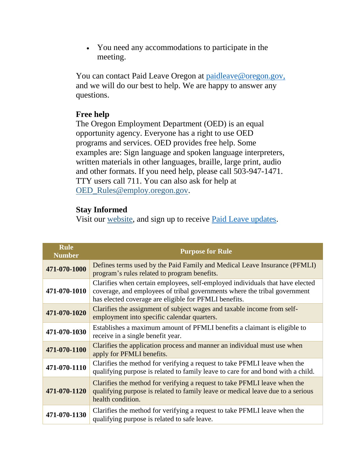You need any accommodations to participate in the meeting.

You can contact Paid Leave Oregon at [paidleave@oregon.gov,](mailto:paidleave@oregon.gov) and we will do our best to help. We are happy to answer any questions.

### **Free help**

The Oregon Employment Department (OED) is an equal opportunity agency. Everyone has a right to use OED programs and services. OED provides free help. Some examples are: Sign language and spoken language interpreters, written materials in other languages, braille, large print, audio and other formats. If you need help, please call 503-947-1471. TTY users call 711. You can also ask for help at [OED\\_Rules@employ.oregon.gov.](mailto:OED_RULES@employ.oregon.gov)

### **Stay Informed**

Visit our [website,](https://lnks.gd/l/eyJhbGciOiJIUzI1NiJ9.eyJidWxsZXRpbl9saW5rX2lkIjoxMDcsInVyaSI6ImJwMjpjbGljayIsImJ1bGxldGluX2lkIjoiMjAyMjAzMDguNTQ1NDMwODEiLCJ1cmwiOiJodHRwczovL3d3dy5vcmVnb24uZ292L2VtcGxveS9QRk1MSS9QYWdlcy9kZWZhdWx0LmFzcHgifQ.62T9Ib2AlsIqYmcMCmVdqdR3y46C8_SVZcZu5muzn-o/s/1507964068/br/127666469021-l) and sign up to receive [Paid Leave updates.](https://public.govdelivery.com/accounts/OREMPDEPT/subscriber/new?topic_id=OREMPDEPT_94)

| <b>Rule</b><br><b>Number</b> | <b>Purpose for Rule</b>                                                                                                                                                                                             |
|------------------------------|---------------------------------------------------------------------------------------------------------------------------------------------------------------------------------------------------------------------|
| 471-070-1000                 | Defines terms used by the Paid Family and Medical Leave Insurance (PFMLI)<br>program's rules related to program benefits.                                                                                           |
| 471-070-1010                 | Clarifies when certain employees, self-employed individuals that have elected<br>coverage, and employees of tribal governments where the tribal government<br>has elected coverage are eligible for PFMLI benefits. |
| 471-070-1020                 | Clarifies the assignment of subject wages and taxable income from self-<br>employment into specific calendar quarters.                                                                                              |
| 471-070-1030                 | Establishes a maximum amount of PFMLI benefits a claimant is eligible to<br>receive in a single benefit year.                                                                                                       |
| 471-070-1100                 | Clarifies the application process and manner an individual must use when<br>apply for PFMLI benefits.                                                                                                               |
| 471-070-1110                 | Clarifies the method for verifying a request to take PFMLI leave when the<br>qualifying purpose is related to family leave to care for and bond with a child.                                                       |
| 471-070-1120                 | Clarifies the method for verifying a request to take PFMLI leave when the<br>qualifying purpose is related to family leave or medical leave due to a serious<br>health condition.                                   |
| 471-070-1130                 | Clarifies the method for verifying a request to take PFMLI leave when the<br>qualifying purpose is related to safe leave.                                                                                           |